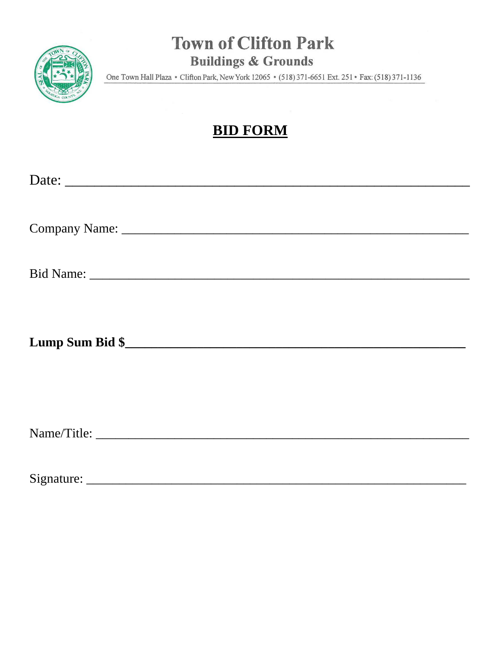

## **Town of Clifton Park Buildings & Grounds**

One Town Hall Plaza • Clifton Park, New York 12065 • (518) 371-6651 Ext. 251 • Fax: (518) 371-1136

## **BID FORM**

| Date:      |  |
|------------|--|
|            |  |
|            |  |
|            |  |
|            |  |
|            |  |
|            |  |
|            |  |
|            |  |
|            |  |
|            |  |
|            |  |
|            |  |
|            |  |
|            |  |
|            |  |
|            |  |
|            |  |
| Signature: |  |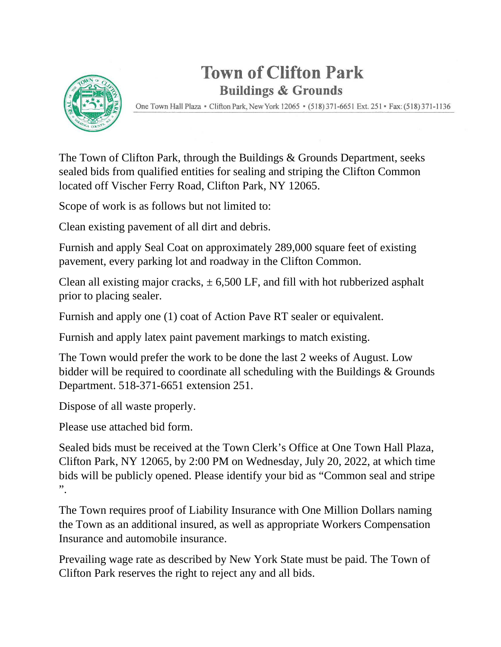## **Town of Clifton Park Buildings & Grounds**



One Town Hall Plaza • Clifton Park, New York 12065 • (518) 371-6651 Ext. 251 • Fax: (518) 371-1136

The Town of Clifton Park, through the Buildings & Grounds Department, seeks sealed bids from qualified entities for sealing and striping the Clifton Common located off Vischer Ferry Road, Clifton Park, NY 12065.

Scope of work is as follows but not limited to:

Clean existing pavement of all dirt and debris.

Furnish and apply Seal Coat on approximately 289,000 square feet of existing pavement, every parking lot and roadway in the Clifton Common.

Clean all existing major cracks,  $\pm$  6,500 LF, and fill with hot rubberized asphalt prior to placing sealer.

Furnish and apply one (1) coat of Action Pave RT sealer or equivalent.

Furnish and apply latex paint pavement markings to match existing.

The Town would prefer the work to be done the last 2 weeks of August. Low bidder will be required to coordinate all scheduling with the Buildings & Grounds Department. 518-371-6651 extension 251.

Dispose of all waste properly.

Please use attached bid form.

Sealed bids must be received at the Town Clerk's Office at One Town Hall Plaza, Clifton Park, NY 12065, by 2:00 PM on Wednesday, July 20, 2022, at which time bids will be publicly opened. Please identify your bid as "Common seal and stripe ".

The Town requires proof of Liability Insurance with One Million Dollars naming the Town as an additional insured, as well as appropriate Workers Compensation Insurance and automobile insurance.

Prevailing wage rate as described by New York State must be paid. The Town of Clifton Park reserves the right to reject any and all bids.